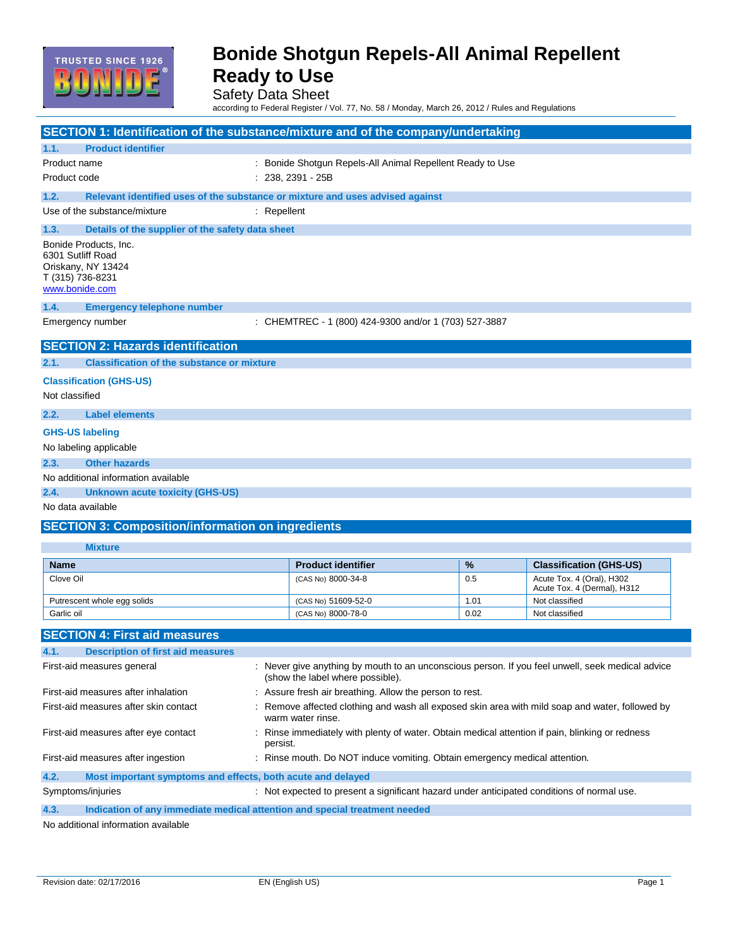

Safety Data Sheet

according to Federal Register / Vol. 77, No. 58 / Monday, March 26, 2012 / Rules and Regulations

| SECTION 1: Identification of the substance/mixture and of the company/undertaking                      |                                                                                                                                      |      |                                                          |
|--------------------------------------------------------------------------------------------------------|--------------------------------------------------------------------------------------------------------------------------------------|------|----------------------------------------------------------|
| <b>Product identifier</b><br>1.1.                                                                      |                                                                                                                                      |      |                                                          |
| Product name                                                                                           | : Bonide Shotgun Repels-All Animal Repellent Ready to Use                                                                            |      |                                                          |
| Product code                                                                                           | $: 238, 2391 - 25B$                                                                                                                  |      |                                                          |
| 1.2.                                                                                                   | Relevant identified uses of the substance or mixture and uses advised against                                                        |      |                                                          |
| Use of the substance/mixture                                                                           | $:$ Repellent                                                                                                                        |      |                                                          |
| 1.3.<br>Details of the supplier of the safety data sheet                                               |                                                                                                                                      |      |                                                          |
| Bonide Products, Inc.<br>6301 Sutliff Road<br>Oriskany, NY 13424<br>T (315) 736-8231<br>www.bonide.com |                                                                                                                                      |      |                                                          |
| 1.4.<br><b>Emergency telephone number</b>                                                              |                                                                                                                                      |      |                                                          |
| Emergency number                                                                                       | : CHEMTREC - 1 (800) 424-9300 and/or 1 (703) 527-3887                                                                                |      |                                                          |
| <b>SECTION 2: Hazards identification</b>                                                               |                                                                                                                                      |      |                                                          |
| 2.1.<br><b>Classification of the substance or mixture</b>                                              |                                                                                                                                      |      |                                                          |
| <b>Classification (GHS-US)</b>                                                                         |                                                                                                                                      |      |                                                          |
| Not classified                                                                                         |                                                                                                                                      |      |                                                          |
| <b>Label elements</b><br>2.2.                                                                          |                                                                                                                                      |      |                                                          |
| <b>GHS-US labeling</b>                                                                                 |                                                                                                                                      |      |                                                          |
| No labeling applicable                                                                                 |                                                                                                                                      |      |                                                          |
| <b>Other hazards</b><br>2.3.                                                                           |                                                                                                                                      |      |                                                          |
| No additional information available                                                                    |                                                                                                                                      |      |                                                          |
| 2.4.<br><b>Unknown acute toxicity (GHS-US)</b>                                                         |                                                                                                                                      |      |                                                          |
| No data available                                                                                      |                                                                                                                                      |      |                                                          |
| <b>SECTION 3: Composition/information on ingredients</b>                                               |                                                                                                                                      |      |                                                          |
| <b>Mixture</b>                                                                                         |                                                                                                                                      |      |                                                          |
| <b>Name</b>                                                                                            | <b>Product identifier</b>                                                                                                            | %    | <b>Classification (GHS-US)</b>                           |
| Clove Oil                                                                                              | (CAS No) 8000-34-8                                                                                                                   | 0.5  | Acute Tox. 4 (Oral), H302<br>Acute Tox. 4 (Dermal), H312 |
| Putrescent whole egg solids                                                                            | (CAS No) 51609-52-0                                                                                                                  | 1.01 | Not classified                                           |
| Garlic oil                                                                                             | (CAS No) 8000-78-0                                                                                                                   | 0.02 | Not classified                                           |
| <b>SECTION 4: First aid measures</b>                                                                   |                                                                                                                                      |      |                                                          |
| 4.1.<br><b>Description of first aid measures</b>                                                       |                                                                                                                                      |      |                                                          |
| First-aid measures general                                                                             | : Never give anything by mouth to an unconscious person. If you feel unwell, seek medical advice<br>(show the label where possible). |      |                                                          |
| First-aid measures after inhalation                                                                    | Assure fresh air breathing. Allow the person to rest.                                                                                |      |                                                          |
| First-aid measures after skin contact                                                                  | Remove affected clothing and wash all exposed skin area with mild soap and water, followed by                                        |      |                                                          |
|                                                                                                        | warm water rinse.                                                                                                                    |      |                                                          |
| First-aid measures after eye contact                                                                   | Rinse immediately with plenty of water. Obtain medical attention if pain, blinking or redness<br>persist.                            |      |                                                          |
| First-aid measures after ingestion                                                                     | : Rinse mouth. Do NOT induce vomiting. Obtain emergency medical attention.                                                           |      |                                                          |
| 4.2.<br>Most important symptoms and effects, both acute and delayed                                    |                                                                                                                                      |      |                                                          |

Symptoms/injuries **interpretent assets** : Not expected to present a significant hazard under anticipated conditions of normal use.

**4.3. Indication of any immediate medical attention and special treatment needed**

No additional information available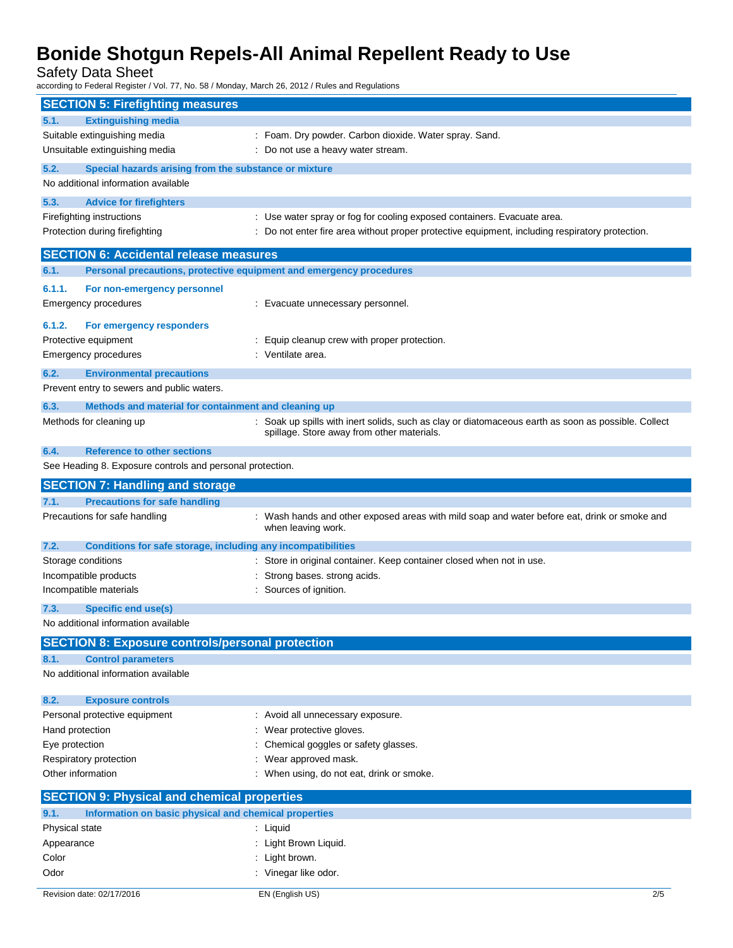Safety Data Sheet

according to Federal Register / Vol. 77, No. 58 / Monday, March 26, 2012 / Rules and Regulations

|                        | <b>SECTION 5: Firefighting measures</b>                              |                                                                                                                    |
|------------------------|----------------------------------------------------------------------|--------------------------------------------------------------------------------------------------------------------|
| 5.1.                   | <b>Extinguishing media</b>                                           |                                                                                                                    |
|                        | Suitable extinguishing media                                         | : Foam. Dry powder. Carbon dioxide. Water spray. Sand.                                                             |
|                        | Unsuitable extinguishing media<br>: Do not use a heavy water stream. |                                                                                                                    |
| 5.2.                   | Special hazards arising from the substance or mixture                |                                                                                                                    |
|                        | No additional information available                                  |                                                                                                                    |
|                        |                                                                      |                                                                                                                    |
| 5.3.                   | <b>Advice for firefighters</b>                                       |                                                                                                                    |
|                        | Firefighting instructions                                            | : Use water spray or fog for cooling exposed containers. Evacuate area.                                            |
|                        | Protection during firefighting                                       | : Do not enter fire area without proper protective equipment, including respiratory protection.                    |
|                        | <b>SECTION 6: Accidental release measures</b>                        |                                                                                                                    |
| 6.1.                   | Personal precautions, protective equipment and emergency procedures  |                                                                                                                    |
| 6.1.1.                 | For non-emergency personnel                                          |                                                                                                                    |
|                        | Emergency procedures                                                 | : Evacuate unnecessary personnel.                                                                                  |
|                        |                                                                      |                                                                                                                    |
| 6.1.2.                 | For emergency responders                                             |                                                                                                                    |
| Protective equipment   |                                                                      | : Equip cleanup crew with proper protection.                                                                       |
|                        | <b>Emergency procedures</b>                                          | : Ventilate area.                                                                                                  |
| 6.2.                   | <b>Environmental precautions</b>                                     |                                                                                                                    |
|                        | Prevent entry to sewers and public waters.                           |                                                                                                                    |
| 6.3.                   | Methods and material for containment and cleaning up                 |                                                                                                                    |
|                        | Methods for cleaning up                                              | Soak up spills with inert solids, such as clay or diatomaceous earth as soon as possible. Collect                  |
|                        |                                                                      | spillage. Store away from other materials.                                                                         |
| 6.4.                   | <b>Reference to other sections</b>                                   |                                                                                                                    |
|                        | See Heading 8. Exposure controls and personal protection.            |                                                                                                                    |
|                        | <b>SECTION 7: Handling and storage</b>                               |                                                                                                                    |
| 7.1.                   | <b>Precautions for safe handling</b>                                 |                                                                                                                    |
|                        |                                                                      |                                                                                                                    |
|                        | Precautions for safe handling                                        | : Wash hands and other exposed areas with mild soap and water before eat, drink or smoke and<br>when leaving work. |
| 7.2.                   | Conditions for safe storage, including any incompatibilities         |                                                                                                                    |
| Storage conditions     |                                                                      | : Store in original container. Keep container closed when not in use.                                              |
| Incompatible products  |                                                                      | Strong bases. strong acids.                                                                                        |
|                        | Incompatible materials                                               | Sources of ignition.                                                                                               |
| 7.3.                   | <b>Specific end use(s)</b>                                           |                                                                                                                    |
|                        | No additional information available                                  |                                                                                                                    |
|                        |                                                                      |                                                                                                                    |
|                        | <b>SECTION 8: Exposure controls/personal protection</b>              |                                                                                                                    |
| 8.1.                   | <b>Control parameters</b>                                            |                                                                                                                    |
|                        | No additional information available                                  |                                                                                                                    |
| 8.2.                   | <b>Exposure controls</b>                                             |                                                                                                                    |
|                        | Personal protective equipment                                        | : Avoid all unnecessary exposure.                                                                                  |
| Hand protection        |                                                                      | Wear protective gloves.                                                                                            |
| Eye protection         |                                                                      | Chemical goggles or safety glasses.                                                                                |
| Respiratory protection |                                                                      | Wear approved mask.                                                                                                |
| Other information      |                                                                      | : When using, do not eat, drink or smoke.                                                                          |
|                        |                                                                      |                                                                                                                    |
|                        | <b>SECTION 9: Physical and chemical properties</b>                   |                                                                                                                    |
| 9.1.                   | Information on basic physical and chemical properties                |                                                                                                                    |
| Physical state         |                                                                      | : Liquid                                                                                                           |
| Appearance             |                                                                      | : Light Brown Liquid.                                                                                              |
| Color                  |                                                                      | : Light brown.                                                                                                     |
| Odor                   |                                                                      | : Vinegar like odor.                                                                                               |
|                        | Revision date: 02/17/2016                                            | EN (English US)<br>2/5                                                                                             |
|                        |                                                                      |                                                                                                                    |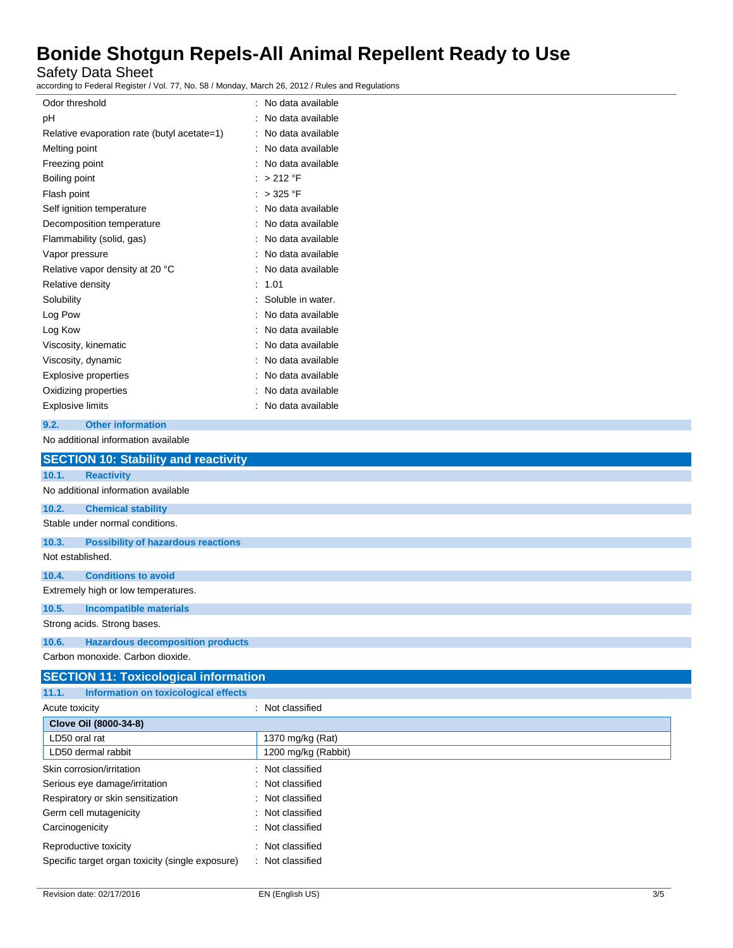Safety Data Sheet

according to Federal Register / Vol. 77, No. 58 / Monday, March 26, 2012 / Rules and Regulations

| Odor threshold                              |   | No data available |
|---------------------------------------------|---|-------------------|
| рH                                          | ٠ | No data available |
| Relative evaporation rate (butyl acetate=1) |   | No data available |
| Melting point                               |   | No data available |
| Freezing point                              |   | No data available |
| Boiling point                               |   | > 212 °F          |
| Flash point                                 |   | > 325 °F          |
| Self ignition temperature                   |   | No data available |
| Decomposition temperature                   |   | No data available |
| Flammability (solid, gas)                   |   | No data available |
| Vapor pressure                              |   | No data available |
| Relative vapor density at 20 °C             |   | No data available |
| Relative density                            |   | 1.01              |
| Solubility                                  |   | Soluble in water. |
| Log Pow                                     |   | No data available |
| Log Kow                                     |   | No data available |
| Viscosity, kinematic                        |   | No data available |
| Viscosity, dynamic                          |   | No data available |
| Explosive properties                        |   | No data available |
| Oxidizing properties                        |   | No data available |
| Explosive limits                            |   | No data available |
|                                             |   |                   |

### **9.2. Other information**

No additional information available

|                  | <b>SECTION 10: Stability and reactivity</b> |
|------------------|---------------------------------------------|
| 10.1.            | <b>Reactivity</b>                           |
|                  | No additional information available         |
| 10.2.            | <b>Chemical stability</b>                   |
|                  | Stable under normal conditions.             |
| 10.3.            | <b>Possibility of hazardous reactions</b>   |
| Not established. |                                             |
| 10.4.            | <b>Conditions to avoid</b>                  |
|                  | Extremely high or low temperatures.         |
| 10.5.            | <b>Incompatible materials</b>               |
|                  | Strong acids. Strong bases.                 |
| 10.6.            | <b>Hazardous decomposition products</b>     |
|                  | Carbon monoxide, Carbon dioxide.            |

#### **SECTION 11: Toxicological information 11.1. Information on toxicological effects**

| .<br><b>INTERNATIONAL CONTROLLER CHECKS</b>      |                     |
|--------------------------------------------------|---------------------|
| Acute toxicity                                   | : Not classified    |
| Clove Oil (8000-34-8)                            |                     |
| LD50 oral rat                                    | 1370 mg/kg (Rat)    |
| LD50 dermal rabbit                               | 1200 mg/kg (Rabbit) |
| Skin corrosion/irritation                        | : Not classified    |
| Serious eye damage/irritation                    | : Not classified    |
| Respiratory or skin sensitization                | : Not classified    |
| Germ cell mutagenicity                           | : Not classified    |
| Carcinogenicity                                  | : Not classified    |
| Reproductive toxicity                            | : Not classified    |
| Specific target organ toxicity (single exposure) | : Not classified    |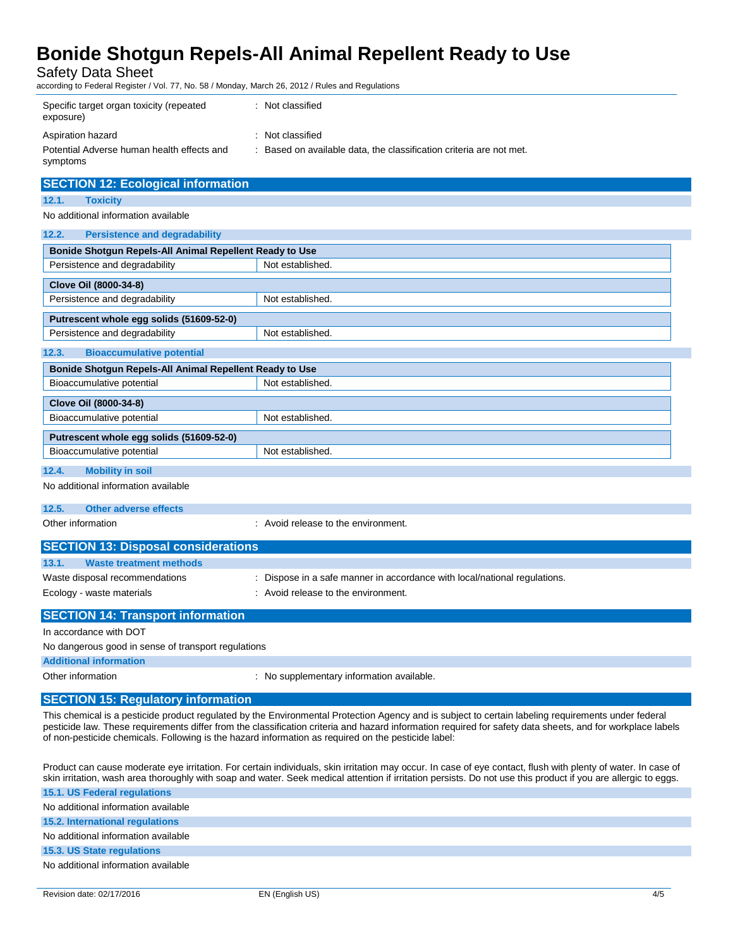Safety Data Sheet

according to Federal Register / Vol. 77, No. 58 / Monday, March 26, 2012 / Rules and Regulations

| Specific target organ toxicity (repeated<br>exposure)  | : Not classified                                                  |
|--------------------------------------------------------|-------------------------------------------------------------------|
| Aspiration hazard                                      | : Not classified                                                  |
| Potential Adverse human health effects and<br>symptoms | Based on available data, the classification criteria are not met. |

| <b>SECTION 12: Ecological information</b>               |                  |  |
|---------------------------------------------------------|------------------|--|
| 12.1.<br><b>Toxicity</b>                                |                  |  |
| No additional information available                     |                  |  |
| 12.2.<br><b>Persistence and degradability</b>           |                  |  |
|                                                         |                  |  |
| Bonide Shotgun Repels-All Animal Repellent Ready to Use |                  |  |
| Persistence and degradability                           | Not established. |  |
| Clove Oil (8000-34-8)                                   |                  |  |
| Persistence and degradability                           | Not established. |  |
| Putrescent whole egg solids (51609-52-0)                |                  |  |
| Persistence and degradability                           | Not established. |  |
| 12.3.<br><b>Bioaccumulative potential</b>               |                  |  |
| Bonide Shotgun Repels-All Animal Repellent Ready to Use |                  |  |
| Bioaccumulative potential                               | Not established. |  |
| Clove Oil (8000-34-8)                                   |                  |  |
| Bioaccumulative potential                               | Not established. |  |
| Putrescent whole egg solids (51609-52-0)                |                  |  |
| Bioaccumulative potential                               | Not established. |  |
| 12.4.<br><b>Mobility in soil</b>                        |                  |  |

No additional information available

#### **12.5. Other adverse effects**

Other information  $\qquad \qquad$ : Avoid release to the environment.

| <b>SECTION 13: Disposal considerations</b> |                                                                           |
|--------------------------------------------|---------------------------------------------------------------------------|
| 13.1.<br><b>Waste treatment methods</b>    |                                                                           |
| Waste disposal recommendations             | : Dispose in a safe manner in accordance with local/national regulations. |
| Ecology - waste materials                  | : Avoid release to the environment.                                       |
| <b>SECTION 14: Transport information</b>   |                                                                           |

In accordance with DOT

No dangerous good in sense of transport regulations

**Additional information**

Other information **contains the container of the container** : No supplementary information available.

#### **SECTION 15: Regulatory information**

This chemical is a pesticide product regulated by the Environmental Protection Agency and is subject to certain labeling requirements under federal pesticide law. These requirements differ from the classification criteria and hazard information required for safety data sheets, and for workplace labels of non-pesticide chemicals. Following is the hazard information as required on the pesticide label:

Product can cause moderate eye irritation. For certain individuals, skin irritation may occur. In case of eye contact, flush with plenty of water. In case of skin irritation, wash area thoroughly with soap and water. Seek medical attention if irritation persists. Do not use this product if you are allergic to eggs.

| 15.1. US Federal regulations           |  |
|----------------------------------------|--|
| No additional information available    |  |
| <b>15.2. International regulations</b> |  |
| No additional information available    |  |
| 15.3. US State regulations             |  |
| No additional information available    |  |